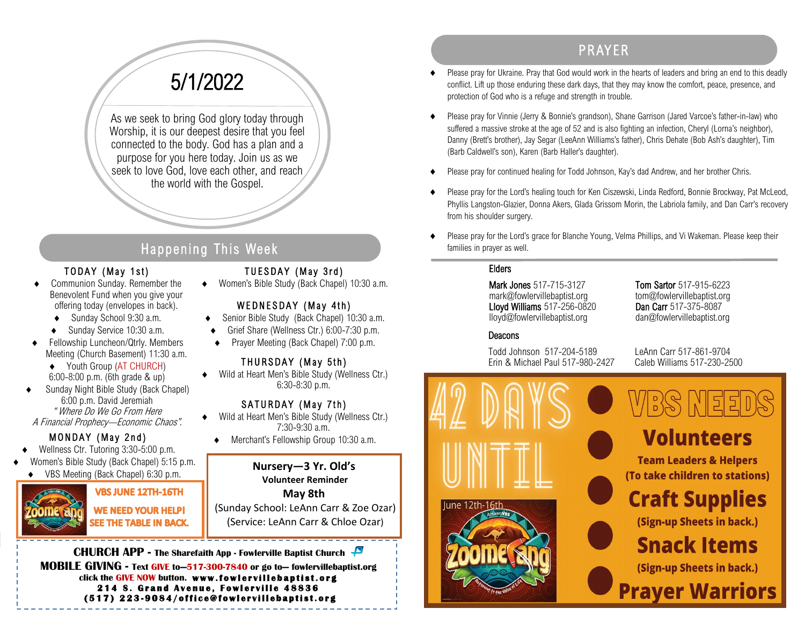# 5/1/2022

As we seek to bring God glory today through Worship, it is our deepest desire that you feel connected to the body. God has a plan and a purpose for you here today. Join us as we seek to love God, love each other, and reach the world with the Gospel.

## Happening This Week

#### TODAY (May 1st)

- Communion Sunday. Remember the Benevolent Fund when you give your offering today (envelopes in back).
	- Sunday School 9:30 a.m.
	- Sunday Service 10:30 a.m.
- Fellowship Luncheon/Qtrly. Members Meeting (Church Basement) 11:30 a.m.
- ◆ Youth Group (AT CHURCH) 6:00-8:00 p.m. (6th grade & up)
- Sunday Night Bible Study (Back Chapel) 6:00 p.m. David Jeremiah " Where Do We Go From Here A Financial Prophecy—Economic Chaos".

## MONDAY (May 2nd)

- Wellness Ctr. Tutoring 3:30-5:00 p.m.
- Women's Bible Study (Back Chapel) 5:15 p.m.
- ◆ VBS Meeting (Back Chapel) 6:30 p.m.



### **VBS JUNE 12TH-16TH WE NEED YOUR HELP!** SEE THE TABLE IN BACK.

## TUESDAY (May 3rd)

◆ Women's Bible Study (Back Chapel) 10:30 a.m.

### WEDNESDAY (May 4th)

- ◆ Senior Bible Study (Back Chapel) 10:30 a.m.
- Grief Share (Wellness Ctr.) 6:00-7:30 p.m.
- ◆ Prayer Meeting (Back Chapel) 7:00 p.m.

### THURSDAY (May 5th)

 Wild at Heart Men's Bible Study (Wellness Ctr.) 6:30-8:30 p.m.

#### SATURDAY (May 7th)

- Wild at Heart Men's Bible Study (Wellness Ctr.) 7:30-9:30 a.m.
- Merchant's Fellowship Group 10:30 a.m.

#### **Nursery—3 Yr. Old's Volunteer Reminder**

**May 8th** (Sunday School: LeAnn Carr & Zoe Ozar) (Service: LeAnn Carr & Chloe Ozar)

**CHURCH APP - The Sharefaith App - Fowlerville Baptist Church MOBILE GIVING - Text GIVE to—517-300-7840 or go to— fowlervillebaptist.org** click the GIVE NOW button. www.fowlervillebaptist.org **214 S. Grand Avenue, Fowlerville 48836 ( 5 1 7 ) 2 2 3 - 9 0 8 4 / o f f i c e @ f o w l e r v i l l e b a p t i s t . o r g** 

# PR AYER

- Please pray for Ukraine. Pray that God would work in the hearts of leaders and bring an end to this deadly conflict. Lift up those enduring these dark days, that they may know the comfort, peace, presence, and protection of God who is a refuge and strength in trouble.
- Please pray for Vinnie (Jerry & Bonnie's grandson), Shane Garrison (Jared Varcoe's father-in-law) who suffered a massive stroke at the age of 52 and is also fighting an infection, Cheryl (Lorna's neighbor), Danny (Brett's brother), Jay Segar (LeeAnn Williams's father), Chris Dehate (Bob Ash's daughter), Tim (Barb Caldwell's son), Karen (Barb Haller's daughter).
- Please pray for continued healing for Todd Johnson, Kay's dad Andrew, and her brother Chris.
- Please pray for the Lord's healing touch for Ken Ciszewski, Linda Redford, Bonnie Brockway, Pat McLeod, Phyllis Langston-Glazier, Donna Akers, Glada Grissom Morin, the Labriola family, and Dan Carr's recovery from his shoulder surgery.
- Please pray for the Lord's grace for Blanche Young, Velma Phillips, and Vi Wakeman. Please keep their families in prayer as well.

#### Elders

Mark Jones 517-715-3127 Tom Sartor 517-915-6223 mark@fowlervillebaptist.org tom@fowlervillebaptist.org Lloyd Williams 517-256-0820 Dan Carr 517-375-8087 lloyd@fowlervillebaptist.org dan@fowlervillebaptist.org

### Deacons

Todd Johnson 517-204-5189 LeAnn Carr 517-861-9704 Erin & Michael Paul 517-980-2427 Caleb Williams 517-230-2500